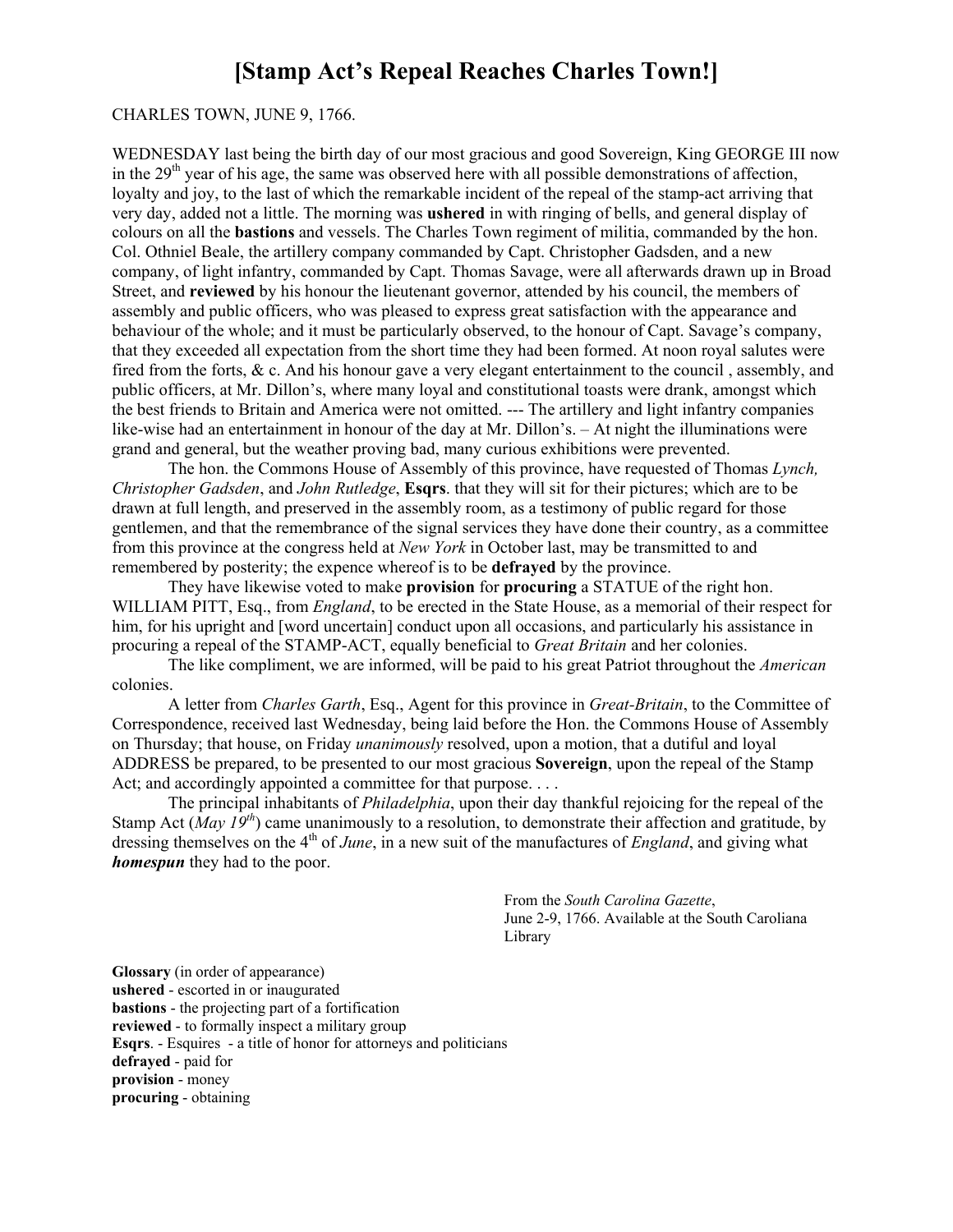## **[Stamp Act's Repeal Reaches Charles Town!]**

## CHARLES TOWN, JUNE 9, 1766.

WEDNESDAY last being the birth day of our most gracious and good Sovereign, King GEORGE III now in the  $29<sup>th</sup>$  year of his age, the same was observed here with all possible demonstrations of affection, loyalty and joy, to the last of which the remarkable incident of the repeal of the stamp-act arriving that very day, added not a little. The morning was **ushered** in with ringing of bells, and general display of colours on all the **bastions** and vessels. The Charles Town regiment of militia, commanded by the hon. Col. Othniel Beale, the artillery company commanded by Capt. Christopher Gadsden, and a new company, of light infantry, commanded by Capt. Thomas Savage, were all afterwards drawn up in Broad Street, and **reviewed** by his honour the lieutenant governor, attended by his council, the members of assembly and public officers, who was pleased to express great satisfaction with the appearance and behaviour of the whole; and it must be particularly observed, to the honour of Capt. Savage's company, that they exceeded all expectation from the short time they had been formed. At noon royal salutes were fired from the forts, & c. And his honour gave a very elegant entertainment to the council , assembly, and public officers, at Mr. Dillon's, where many loyal and constitutional toasts were drank, amongst which the best friends to Britain and America were not omitted. --- The artillery and light infantry companies like-wise had an entertainment in honour of the day at Mr. Dillon's.  $-$  At night the illuminations were grand and general, but the weather proving bad, many curious exhibitions were prevented.

The hon. the Commons House of Assembly of this province, have requested of Thomas *Lynch, Christopher Gadsden*, and *John Rutledge*, **Esqrs**. that they will sit for their pictures; which are to be drawn at full length, and preserved in the assembly room, as a testimony of public regard for those gentlemen, and that the remembrance of the signal services they have done their country, as a committee from this province at the congress held at *New York* in October last, may be transmitted to and remembered by posterity; the expence whereof is to be **defrayed** by the province.

They have likewise voted to make **provision** for **procuring** a STATUE of the right hon. WILLIAM PITT, Esq., from *England*, to be erected in the State House, as a memorial of their respect for him, for his upright and [word uncertain] conduct upon all occasions, and particularly his assistance in procuring a repeal of the STAMPACT, equally beneficial to *Great Britain* and her colonies.

The like compliment, we are informed, will be paid to his great Patriot throughout the *American* colonies.

A letter from *Charles Garth*, Esq., Agent for this province in *Great-Britain*, to the Committee of Correspondence, received last Wednesday, being laid before the Hon. the Commons House of Assembly on Thursday; that house, on Friday *unanimously* resolved, upon a motion, that a dutiful and loyal ADDRESS be prepared, to be presented to our most gracious **Sovereign**, upon the repeal of the Stamp Act; and accordingly appointed a committee for that purpose. . . .

The principal inhabitants of *Philadelphia*, upon their day thankful rejoicing for the repeal of the Stamp Act (*May 19<sup>th</sup>*) came unanimously to a resolution, to demonstrate their affection and gratitude, by dressing themselves on the 4<sup>th</sup> of *June*, in a new suit of the manufactures of *England*, and giving what *homespun* they had to the poor.

> From the *South Carolina Gazette*, June 2-9, 1766. Available at the South Caroliana Library

**Glossary** (in order of appearance) ushered - escorted in or inaugurated **bastions** - the projecting part of a fortification **reviewed** - to formally inspect a military group **Esqrs.** - Esquires - a title of honor for attorneys and politicians defrayed - paid for **provision** - money **procuring** - obtaining